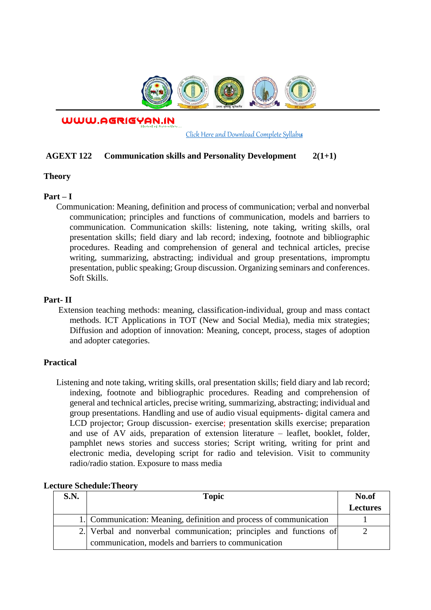

WWW.AGRIGYAN.IN

[Click Here and Download Complete Syllabus](http://agrigyan.in/)

## **AGEXT 122 Communication skills and Personality Development 2(1+1)**

#### **Theory**

 $\overline{a}$ 

## **Part – I**

Communication: Meaning, definition and process of communication; verbal and nonverbal communication; principles and functions of communication, models and barriers to communication. Communication skills: listening, note taking, writing skills, oral presentation skills; field diary and lab record; indexing, footnote and bibliographic procedures. Reading and comprehension of general and technical articles, precise writing, summarizing, abstracting; individual and group presentations, impromptu presentation, public speaking; Group discussion. Organizing seminars and conferences. Soft Skills.

### **Part- II**

Extension teaching methods: meaning, classification-individual, group and mass contact methods. ICT Applications in TOT (New and Social Media), media mix strategies; Diffusion and adoption of innovation: Meaning, concept, process, stages of adoption and adopter categories.

### **Practical**

Listening and note taking, writing skills, oral presentation skills; field diary and lab record; indexing, footnote and bibliographic procedures. Reading and comprehension of general and technical articles, precise writing, summarizing, abstracting; individual and group presentations. Handling and use of audio visual equipments- digital camera and LCD projector; Group discussion- exercise; presentation skills exercise; preparation and use of AV aids, preparation of extension literature – leaflet, booklet, folder, pamphlet news stories and success stories; Script writing, writing for print and electronic media, developing script for radio and television. Visit to community radio/radio station. Exposure to mass media

| <b>S.N.</b> | <b>Topic</b>                                                       | No.of           |
|-------------|--------------------------------------------------------------------|-----------------|
|             |                                                                    | <b>Lectures</b> |
|             | 1. Communication: Meaning, definition and process of communication |                 |
|             | 2. Verbal and nonverbal communication; principles and functions of |                 |
|             | communication, models and barriers to communication                |                 |

### **Lecture Schedule:Theory**